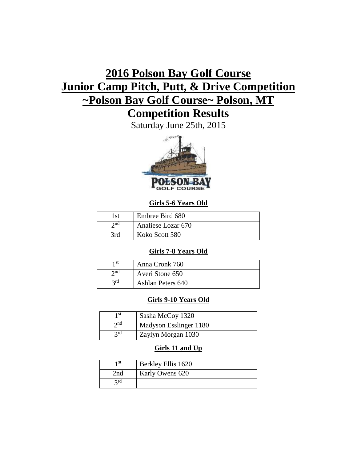# **2016 Polson Bay Golf Course Junior Camp Pitch, Putt, & Drive Competition ~Polson Bay Golf Course~ Polson, MT**

## **Competition Results**

Saturday June 25th, 2015



## **Girls 5-6 Years Old**

| 1st         | Embree Bird 680    |
|-------------|--------------------|
| $\gamma$ nd | Analiese Lozar 670 |
| 3rd         | Koko Scott 580     |

## **Girls 7-8 Years Old**

| 1 st        | Anna Cronk 760    |
|-------------|-------------------|
| $\gamma$ nd | Averi Stone 650   |
| 2rd         | Ashlan Peters 640 |

## **Girls 9-10 Years Old**

| 1 st        | Sasha McCoy 1320       |
|-------------|------------------------|
| $\gamma$ nd | Madyson Esslinger 1180 |
| 2rd         | Zaylyn Morgan 1030     |

## **Girls 11 and Up**

| 1 st | Berkley Ellis 1620 |
|------|--------------------|
| 2nd  | Karly Owens 620    |
| 2rd  |                    |